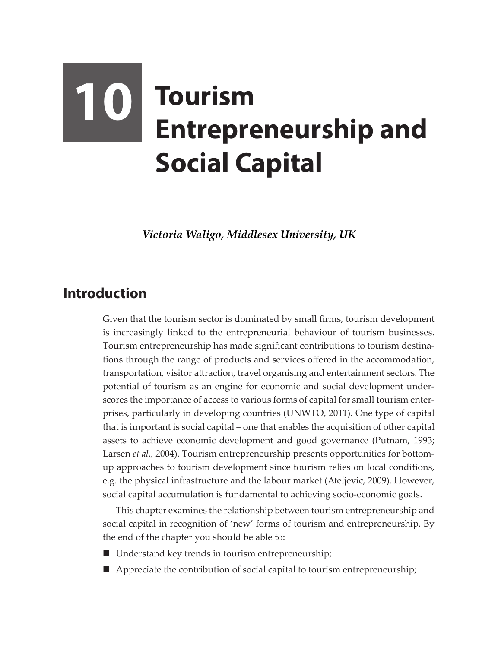## **10 Tourism Entrepreneurship and Social Capital**

*Victoria Waligo, Middlesex University, UK*

## **Introduction**

Given that the tourism sector is dominated by small firms, tourism development is increasingly linked to the entrepreneurial behaviour of tourism businesses. Tourism entrepreneurship has made significant contributions to tourism destinations through the range of products and services offered in the accommodation, transportation, visitor attraction, travel organising and entertainment sectors. The potential of tourism as an engine for economic and social development underscores the importance of access to various forms of capital for small tourism enterprises, particularly in developing countries (UNWTO, 2011). One type of capital that is important is social capital – one that enables the acquisition of other capital assets to achieve economic development and good governance (Putnam, 1993; Larsen *et al.,* 2004). Tourism entrepreneurship presents opportunities for bottomup approaches to tourism development since tourism relies on local conditions, e.g. the physical infrastructure and the labour market (Ateljevic, 2009). However, social capital accumulation is fundamental to achieving socio-economic goals.

This chapter examines the relationship between tourism entrepreneurship and social capital in recognition of 'new' forms of tourism and entrepreneurship. By the end of the chapter you should be able to:

- Understand key trends in tourism entrepreneurship;
- Appreciate the contribution of social capital to tourism entrepreneurship;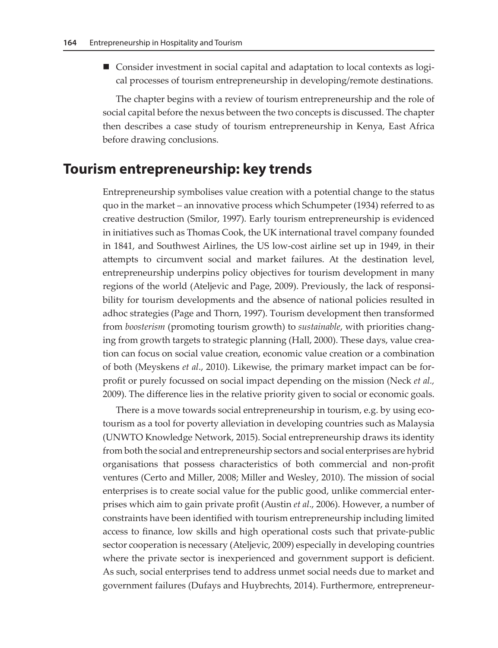Consider investment in social capital and adaptation to local contexts as logical processes of tourism entrepreneurship in developing/remote destinations.

The chapter begins with a review of tourism entrepreneurship and the role of social capital before the nexus between the two concepts is discussed. The chapter then describes a case study of tourism entrepreneurship in Kenya, East Africa before drawing conclusions.

## **Tourism entrepreneurship: key trends**

Entrepreneurship symbolises value creation with a potential change to the status quo in the market – an innovative process which Schumpeter (1934) referred to as creative destruction (Smilor, 1997). Early tourism entrepreneurship is evidenced in initiatives such as Thomas Cook, the UK international travel company founded in 1841, and Southwest Airlines, the US low-cost airline set up in 1949, in their attempts to circumvent social and market failures. At the destination level, entrepreneurship underpins policy objectives for tourism development in many regions of the world (Ateljevic and Page, 2009). Previously, the lack of responsibility for tourism developments and the absence of national policies resulted in adhoc strategies (Page and Thorn, 1997). Tourism development then transformed from *boosterism* (promoting tourism growth) to *sustainable*, with priorities changing from growth targets to strategic planning (Hall, 2000). These days, value creation can focus on social value creation, economic value creation or a combination of both (Meyskens *et al*., 2010). Likewise, the primary market impact can be forprofit or purely focussed on social impact depending on the mission (Neck *et al.,* 2009). The difference lies in the relative priority given to social or economic goals.

There is a move towards social entrepreneurship in tourism, e.g. by using ecotourism as a tool for poverty alleviation in developing countries such as Malaysia (UNWTO Knowledge Network, 2015). Social entrepreneurship draws its identity from both the social and entrepreneurship sectors and social enterprises are hybrid organisations that possess characteristics of both commercial and non-profit ventures (Certo and Miller, 2008; Miller and Wesley, 2010). The mission of social enterprises is to create social value for the public good, unlike commercial enterprises which aim to gain private profit (Austin *et al*., 2006). However, a number of constraints have been identified with tourism entrepreneurship including limited access to finance, low skills and high operational costs such that private-public sector cooperation is necessary (Ateljevic, 2009) especially in developing countries where the private sector is inexperienced and government support is deficient. As such, social enterprises tend to address unmet social needs due to market and government failures (Dufays and Huybrechts, 2014). Furthermore, entrepreneur